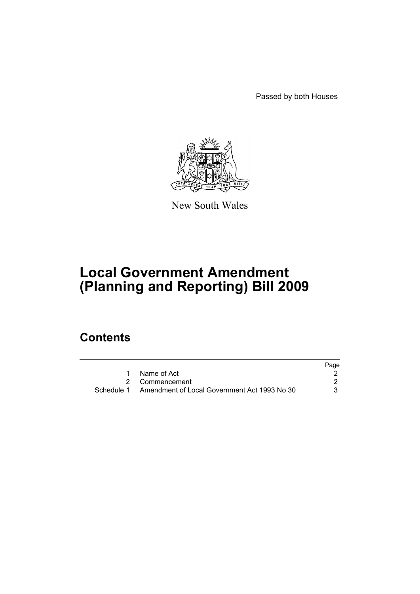Passed by both Houses



New South Wales

# **Local Government Amendment (Planning and Reporting) Bill 2009**

# **Contents**

|                                                         | Page |
|---------------------------------------------------------|------|
| Name of Act                                             |      |
| 2 Commencement                                          |      |
| Schedule 1 Amendment of Local Government Act 1993 No 30 | 3    |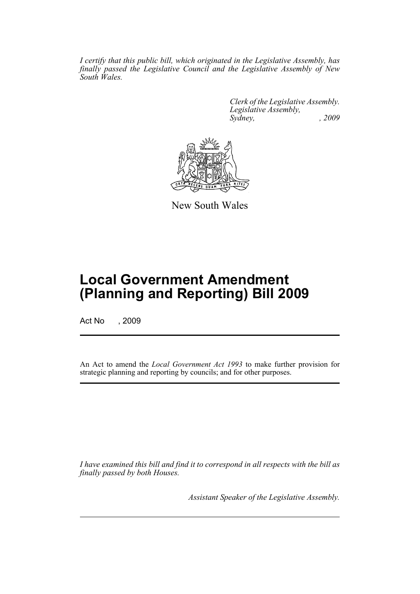*I certify that this public bill, which originated in the Legislative Assembly, has finally passed the Legislative Council and the Legislative Assembly of New South Wales.*

> *Clerk of the Legislative Assembly. Legislative Assembly, Sydney, , 2009*



New South Wales

# **Local Government Amendment (Planning and Reporting) Bill 2009**

Act No , 2009

An Act to amend the *Local Government Act 1993* to make further provision for strategic planning and reporting by councils; and for other purposes.

*I have examined this bill and find it to correspond in all respects with the bill as finally passed by both Houses.*

*Assistant Speaker of the Legislative Assembly.*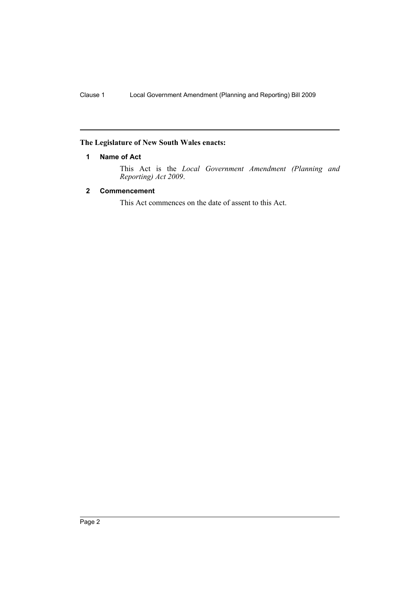## <span id="page-2-0"></span>**The Legislature of New South Wales enacts:**

## **1 Name of Act**

This Act is the *Local Government Amendment (Planning and Reporting) Act 2009*.

## <span id="page-2-1"></span>**2 Commencement**

This Act commences on the date of assent to this Act.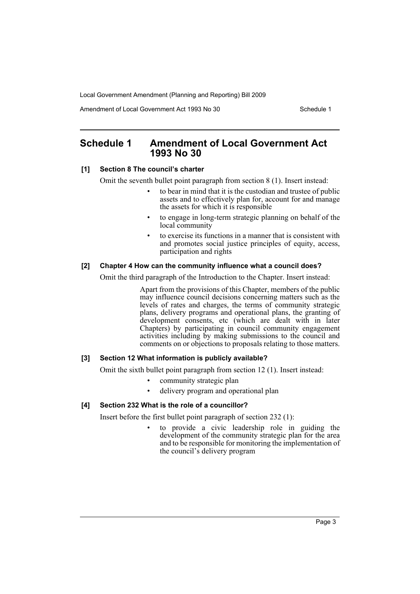Amendment of Local Government Act 1993 No 30 Schedule 1

## <span id="page-3-0"></span>**Schedule 1 Amendment of Local Government Act 1993 No 30**

### **[1] Section 8 The council's charter**

Omit the seventh bullet point paragraph from section 8 (1). Insert instead:

- to bear in mind that it is the custodian and trustee of public assets and to effectively plan for, account for and manage the assets for which it is responsible
- to engage in long-term strategic planning on behalf of the local community
- to exercise its functions in a manner that is consistent with and promotes social justice principles of equity, access, participation and rights

## **[2] Chapter 4 How can the community influence what a council does?**

Omit the third paragraph of the Introduction to the Chapter. Insert instead:

Apart from the provisions of this Chapter, members of the public may influence council decisions concerning matters such as the levels of rates and charges, the terms of community strategic plans, delivery programs and operational plans, the granting of development consents, etc (which are dealt with in later Chapters) by participating in council community engagement activities including by making submissions to the council and comments on or objections to proposals relating to those matters.

## **[3] Section 12 What information is publicly available?**

Omit the sixth bullet point paragraph from section 12 (1). Insert instead:

- community strategic plan
- delivery program and operational plan

## **[4] Section 232 What is the role of a councillor?**

Insert before the first bullet point paragraph of section 232 (1):

• to provide a civic leadership role in guiding the development of the community strategic plan for the area and to be responsible for monitoring the implementation of the council's delivery program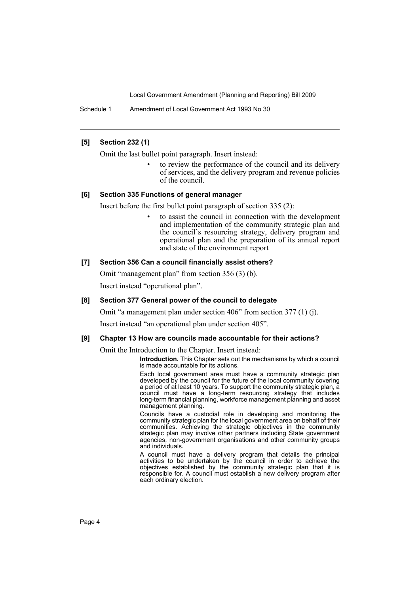Schedule 1 Amendment of Local Government Act 1993 No 30

## **[5] Section 232 (1)**

Omit the last bullet point paragraph. Insert instead:

to review the performance of the council and its delivery of services, and the delivery program and revenue policies of the council.

#### **[6] Section 335 Functions of general manager**

Insert before the first bullet point paragraph of section 335 (2):

• to assist the council in connection with the development and implementation of the community strategic plan and the council's resourcing strategy, delivery program and operational plan and the preparation of its annual report and state of the environment report

## **[7] Section 356 Can a council financially assist others?**

Omit "management plan" from section 356 (3) (b). Insert instead "operational plan".

#### **[8] Section 377 General power of the council to delegate**

Omit "a management plan under section 406" from section 377 (1) (j).

Insert instead "an operational plan under section 405".

#### **[9] Chapter 13 How are councils made accountable for their actions?**

Omit the Introduction to the Chapter. Insert instead:

**Introduction.** This Chapter sets out the mechanisms by which a council is made accountable for its actions.

Each local government area must have a community strategic plan developed by the council for the future of the local community covering a period of at least 10 years. To support the community strategic plan, a council must have a long-term resourcing strategy that includes long-term financial planning, workforce management planning and asset management planning.

Councils have a custodial role in developing and monitoring the community strategic plan for the local government area on behalf of their communities. Achieving the strategic objectives in the community strategic plan may involve other partners including State government agencies, non-government organisations and other community groups and individuals.

A council must have a delivery program that details the principal activities to be undertaken by the council in order to achieve the objectives established by the community strategic plan that it is responsible for. A council must establish a new delivery program after each ordinary election.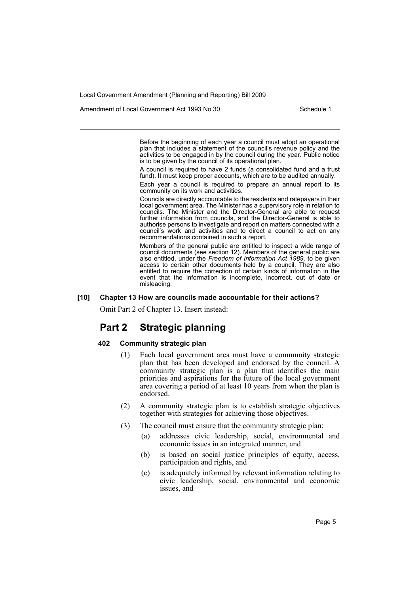Amendment of Local Government Act 1993 No 30 Schedule 1

Before the beginning of each year a council must adopt an operational plan that includes a statement of the council's revenue policy and the activities to be engaged in by the council during the year. Public notice is to be given by the council of its operational plan.

A council is required to have 2 funds (a consolidated fund and a trust fund). It must keep proper accounts, which are to be audited annually.

Each year a council is required to prepare an annual report to its community on its work and activities.

Councils are directly accountable to the residents and ratepayers in their local government area. The Minister has a supervisory role in relation to councils. The Minister and the Director-General are able to request further information from councils, and the Director-General is able to authorise persons to investigate and report on matters connected with a council's work and activities and to direct a council to act on any recommendations contained in such a report.

Members of the general public are entitled to inspect a wide range of council documents (see section 12). Members of the general public are also entitled, under the *Freedom of Information Act* 1989, to be given access to certain other documents held by a council. They are also entitled to require the correction of certain kinds of information in the event that the information is incomplete, incorrect, out of date or misleading.

#### **[10] Chapter 13 How are councils made accountable for their actions?**

Omit Part 2 of Chapter 13. Insert instead:

## **Part 2 Strategic planning**

## **402 Community strategic plan**

- (1) Each local government area must have a community strategic plan that has been developed and endorsed by the council. A community strategic plan is a plan that identifies the main priorities and aspirations for the future of the local government area covering a period of at least 10 years from when the plan is endorsed.
- (2) A community strategic plan is to establish strategic objectives together with strategies for achieving those objectives.
- (3) The council must ensure that the community strategic plan:
	- (a) addresses civic leadership, social, environmental and economic issues in an integrated manner, and
	- (b) is based on social justice principles of equity, access, participation and rights, and
	- (c) is adequately informed by relevant information relating to civic leadership, social, environmental and economic issues, and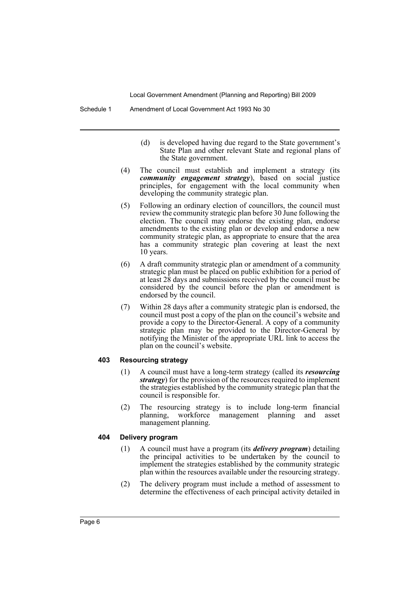- (d) is developed having due regard to the State government's State Plan and other relevant State and regional plans of the State government.
- (4) The council must establish and implement a strategy (its *community engagement strategy*), based on social justice principles, for engagement with the local community when developing the community strategic plan.
- (5) Following an ordinary election of councillors, the council must review the community strategic plan before 30 June following the election. The council may endorse the existing plan, endorse amendments to the existing plan or develop and endorse a new community strategic plan, as appropriate to ensure that the area has a community strategic plan covering at least the next 10 years.
- (6) A draft community strategic plan or amendment of a community strategic plan must be placed on public exhibition for a period of at least 28 days and submissions received by the council must be considered by the council before the plan or amendment is endorsed by the council.
- (7) Within 28 days after a community strategic plan is endorsed, the council must post a copy of the plan on the council's website and provide a copy to the Director-General. A copy of a community strategic plan may be provided to the Director-General by notifying the Minister of the appropriate URL link to access the plan on the council's website.

#### **403 Resourcing strategy**

- (1) A council must have a long-term strategy (called its *resourcing strategy*) for the provision of the resources required to implement the strategies established by the community strategic plan that the council is responsible for.
- (2) The resourcing strategy is to include long-term financial planning, workforce management planning and asset management planning.

## **404 Delivery program**

- (1) A council must have a program (its *delivery program*) detailing the principal activities to be undertaken by the council to implement the strategies established by the community strategic plan within the resources available under the resourcing strategy.
- (2) The delivery program must include a method of assessment to determine the effectiveness of each principal activity detailed in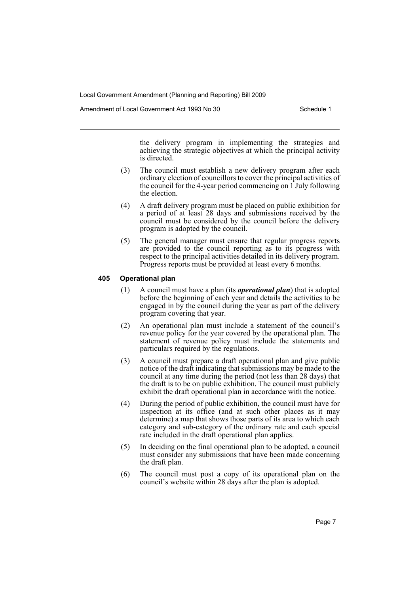Amendment of Local Government Act 1993 No 30 Schedule 1

the delivery program in implementing the strategies and achieving the strategic objectives at which the principal activity is directed.

- (3) The council must establish a new delivery program after each ordinary election of councillors to cover the principal activities of the council for the 4-year period commencing on 1 July following the election.
- (4) A draft delivery program must be placed on public exhibition for a period of at least 28 days and submissions received by the council must be considered by the council before the delivery program is adopted by the council.
- (5) The general manager must ensure that regular progress reports are provided to the council reporting as to its progress with respect to the principal activities detailed in its delivery program. Progress reports must be provided at least every 6 months.

## **405 Operational plan**

- (1) A council must have a plan (its *operational plan*) that is adopted before the beginning of each year and details the activities to be engaged in by the council during the year as part of the delivery program covering that year.
- (2) An operational plan must include a statement of the council's revenue policy for the year covered by the operational plan. The statement of revenue policy must include the statements and particulars required by the regulations.
- (3) A council must prepare a draft operational plan and give public notice of the draft indicating that submissions may be made to the council at any time during the period (not less than 28 days) that the draft is to be on public exhibition. The council must publicly exhibit the draft operational plan in accordance with the notice.
- (4) During the period of public exhibition, the council must have for inspection at its office (and at such other places as it may determine) a map that shows those parts of its area to which each category and sub-category of the ordinary rate and each special rate included in the draft operational plan applies.
- (5) In deciding on the final operational plan to be adopted, a council must consider any submissions that have been made concerning the draft plan.
- (6) The council must post a copy of its operational plan on the council's website within 28 days after the plan is adopted.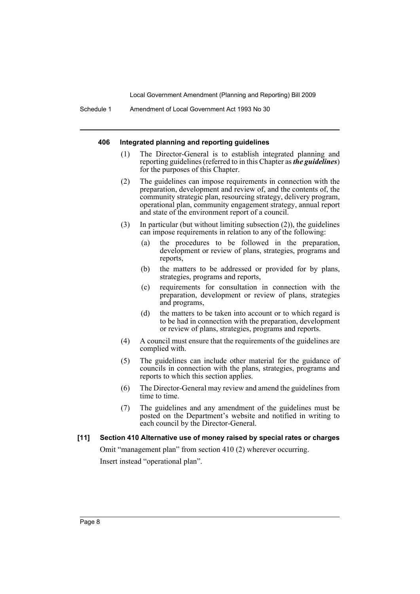#### **406 Integrated planning and reporting guidelines**

- (1) The Director-General is to establish integrated planning and reporting guidelines (referred to in this Chapter as *the guidelines*) for the purposes of this Chapter.
- (2) The guidelines can impose requirements in connection with the preparation, development and review of, and the contents of, the community strategic plan, resourcing strategy, delivery program, operational plan, community engagement strategy, annual report and state of the environment report of a council.
- (3) In particular (but without limiting subsection (2)), the guidelines can impose requirements in relation to any of the following:
	- (a) the procedures to be followed in the preparation, development or review of plans, strategies, programs and reports,
	- (b) the matters to be addressed or provided for by plans, strategies, programs and reports,
	- (c) requirements for consultation in connection with the preparation, development or review of plans, strategies and programs,
	- (d) the matters to be taken into account or to which regard is to be had in connection with the preparation, development or review of plans, strategies, programs and reports.
- (4) A council must ensure that the requirements of the guidelines are complied with.
- (5) The guidelines can include other material for the guidance of councils in connection with the plans, strategies, programs and reports to which this section applies.
- (6) The Director-General may review and amend the guidelines from time to time.
- (7) The guidelines and any amendment of the guidelines must be posted on the Department's website and notified in writing to each council by the Director-General.

#### **[11] Section 410 Alternative use of money raised by special rates or charges**

Omit "management plan" from section 410 (2) wherever occurring. Insert instead "operational plan".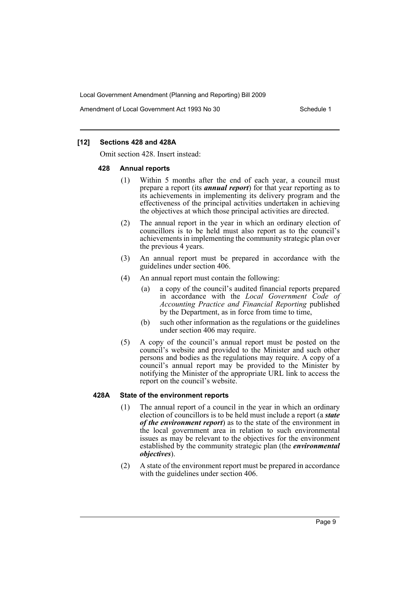Amendment of Local Government Act 1993 No 30 Schedule 1

## **[12] Sections 428 and 428A**

Omit section 428. Insert instead:

#### **428 Annual reports**

- (1) Within 5 months after the end of each year, a council must prepare a report (its *annual report*) for that year reporting as to its achievements in implementing its delivery program and the effectiveness of the principal activities undertaken in achieving the objectives at which those principal activities are directed.
- (2) The annual report in the year in which an ordinary election of councillors is to be held must also report as to the council's achievements in implementing the community strategic plan over the previous 4 years.
- (3) An annual report must be prepared in accordance with the guidelines under section 406.
- (4) An annual report must contain the following:
	- (a) a copy of the council's audited financial reports prepared in accordance with the *Local Government Code of Accounting Practice and Financial Reporting* published by the Department, as in force from time to time,
	- (b) such other information as the regulations or the guidelines under section 406 may require.
- (5) A copy of the council's annual report must be posted on the council's website and provided to the Minister and such other persons and bodies as the regulations may require. A copy of a council's annual report may be provided to the Minister by notifying the Minister of the appropriate URL link to access the report on the council's website.

#### **428A State of the environment reports**

- (1) The annual report of a council in the year in which an ordinary election of councillors is to be held must include a report (a *state of the environment report*) as to the state of the environment in the local government area in relation to such environmental issues as may be relevant to the objectives for the environment established by the community strategic plan (the *environmental objectives*).
- (2) A state of the environment report must be prepared in accordance with the guidelines under section 406.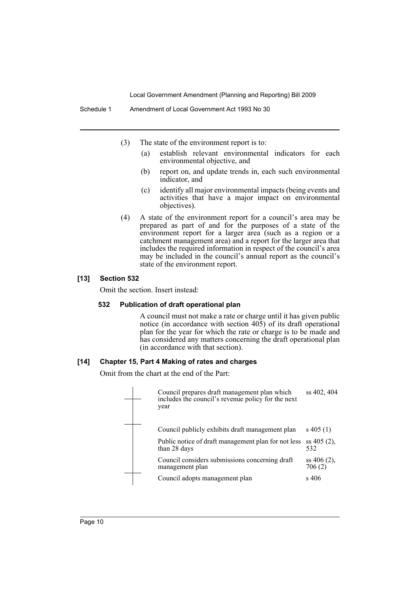- (3) The state of the environment report is to:
	- (a) establish relevant environmental indicators for each environmental objective, and
	- (b) report on, and update trends in, each such environmental indicator, and
	- (c) identify all major environmental impacts (being events and activities that have a major impact on environmental objectives).
- (4) A state of the environment report for a council's area may be prepared as part of and for the purposes of a state of the environment report for a larger area (such as a region or a catchment management area) and a report for the larger area that includes the required information in respect of the council's area may be included in the council's annual report as the council's state of the environment report.

#### **[13] Section 532**

Omit the section. Insert instead:

### **532 Publication of draft operational plan**

A council must not make a rate or charge until it has given public notice (in accordance with section 405) of its draft operational plan for the year for which the rate or charge is to be made and has considered any matters concerning the draft operational plan (in accordance with that section).

#### **[14] Chapter 15, Part 4 Making of rates and charges**

Omit from the chart at the end of the Part:

| Council prepares draft management plan which<br>includes the council's revenue policy for the next<br>year | ss 402, 404              |
|------------------------------------------------------------------------------------------------------------|--------------------------|
| Council publicly exhibits draft management plan                                                            | $s\,405(1)$              |
| Public notice of draft management plan for not less<br>than 28 days                                        | $ss 405 (2)$ ,<br>532    |
| Council considers submissions concerning draft<br>management plan                                          | $ss 406(2)$ ,<br>706 (2) |
| Council adopts management plan                                                                             | s 406                    |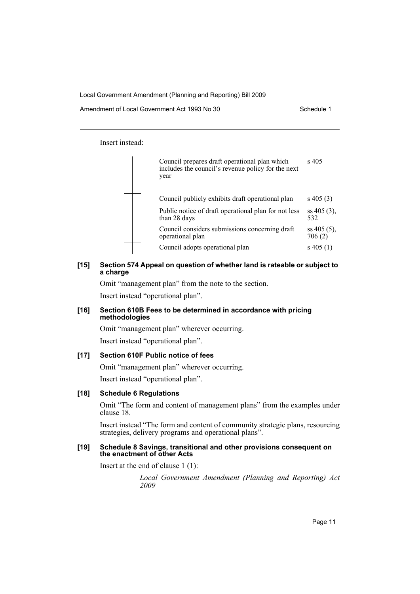Insert instead:



## **[15] Section 574 Appeal on question of whether land is rateable or subject to a charge**

Omit "management plan" from the note to the section.

Insert instead "operational plan".

### **[16] Section 610B Fees to be determined in accordance with pricing methodologies**

Omit "management plan" wherever occurring. Insert instead "operational plan".

## **[17] Section 610F Public notice of fees**

Omit "management plan" wherever occurring. Insert instead "operational plan".

## **[18] Schedule 6 Regulations**

Omit "The form and content of management plans" from the examples under clause 18.

Insert instead "The form and content of community strategic plans, resourcing strategies, delivery programs and operational plans".

#### **[19] Schedule 8 Savings, transitional and other provisions consequent on the enactment of other Acts**

Insert at the end of clause 1 (1):

*Local Government Amendment (Planning and Reporting) Act 2009*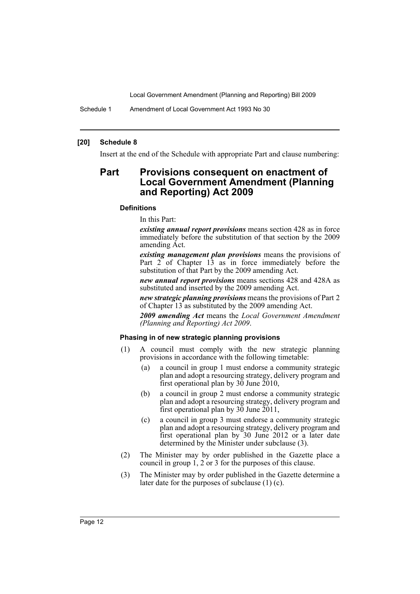Schedule 1 Amendment of Local Government Act 1993 No 30

#### **[20] Schedule 8**

Insert at the end of the Schedule with appropriate Part and clause numbering:

## **Part Provisions consequent on enactment of Local Government Amendment (Planning and Reporting) Act 2009**

#### **Definitions**

In this Part:

*existing annual report provisions* means section 428 as in force immediately before the substitution of that section by the 2009 amending Act.

*existing management plan provisions* means the provisions of Part 2 of Chapter 13 as in force immediately before the substitution of that Part by the 2009 amending Act.

*new annual report provisions* means sections 428 and 428A as substituted and inserted by the 2009 amending Act.

*new strategic planning provisions* means the provisions of Part 2 of Chapter 13 as substituted by the 2009 amending Act.

*2009 amending Act* means the *Local Government Amendment (Planning and Reporting) Act 2009*.

#### **Phasing in of new strategic planning provisions**

- (1) A council must comply with the new strategic planning provisions in accordance with the following timetable:
	- (a) a council in group 1 must endorse a community strategic plan and adopt a resourcing strategy, delivery program and first operational plan by 30 June 2010,
	- (b) a council in group 2 must endorse a community strategic plan and adopt a resourcing strategy, delivery program and first operational plan by 30 June 2011,
	- (c) a council in group 3 must endorse a community strategic plan and adopt a resourcing strategy, delivery program and first operational plan by 30 June 2012 or a later date determined by the Minister under subclause (3).
- (2) The Minister may by order published in the Gazette place a council in group  $\tilde{1}$ ,  $2$  or  $3$  for the purposes of this clause.
- (3) The Minister may by order published in the Gazette determine a later date for the purposes of subclause (1) (c).